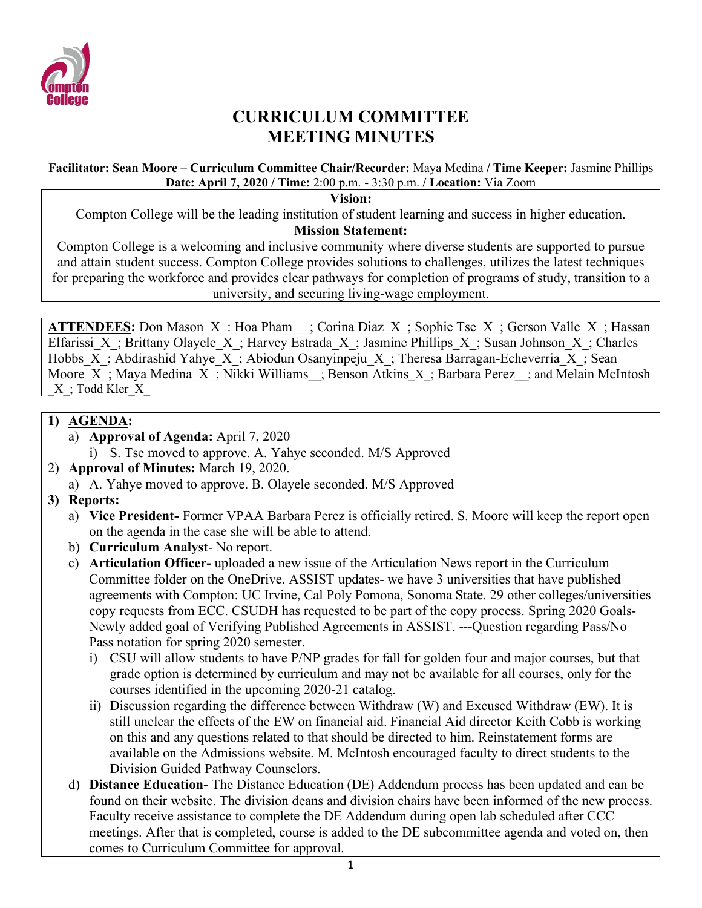

# **CURRICULUM COMMITTEE MEETING MINUTES**

**Facilitator: Sean Moore – Curriculum Committee Chair/Recorder:** Maya Medina **/ Time Keeper:** Jasmine Phillips **Date: April 7, 2020 / Time:** 2:00 p.m. - 3:30 p.m. **/ Location:** Via Zoom

**Vision:**

Compton College will be the leading institution of student learning and success in higher education.

#### **Mission Statement:**

Compton College is a welcoming and inclusive community where diverse students are supported to pursue and attain student success. Compton College provides solutions to challenges, utilizes the latest techniques for preparing the workforce and provides clear pathways for completion of programs of study, transition to a university, and securing living-wage employment.

**ATTENDEES:** Don Mason X: Hoa Pham ; Corina Diaz X; Sophie Tse X; Gerson Valle X; Hassan Elfarissi X; Brittany Olayele X; Harvey Estrada X; Jasmine Phillips X; Susan Johnson X; Charles Hobbs X; Abdirashid Yahye X; Abiodun Osanyinpeju X; Theresa Barragan-Echeverria X; Sean Moore X; Maya Medina X; Nikki Williams ; Benson Atkins X; Barbara Perez ; and Melain McIntosh \_X\_; Todd Kler\_X\_

#### **1) AGENDA:**

a) **Approval of Agenda:** April 7, 2020

i) S. Tse moved to approve. A. Yahye seconded. M/S Approved

- 2) **Approval of Minutes:** March 19, 2020.
	- a) A. Yahye moved to approve. B. Olayele seconded. M/S Approved
- **3) Reports:**
	- a) **Vice President-** Former VPAA Barbara Perez is officially retired. S. Moore will keep the report open on the agenda in the case she will be able to attend.
	- b) **Curriculum Analyst** No report.
	- c) **Articulation Officer-** uploaded a new issue of the Articulation News report in the Curriculum Committee folder on the OneDrive. ASSIST updates- we have 3 universities that have published agreements with Compton: UC Irvine, Cal Poly Pomona, Sonoma State. 29 other colleges/universities copy requests from ECC. CSUDH has requested to be part of the copy process. Spring 2020 Goals-Newly added goal of Verifying Published Agreements in ASSIST. ---Question regarding Pass/No Pass notation for spring 2020 semester.
		- i) CSU will allow students to have P/NP grades for fall for golden four and major courses, but that grade option is determined by curriculum and may not be available for all courses, only for the courses identified in the upcoming 2020-21 catalog.
		- ii) Discussion regarding the difference between Withdraw (W) and Excused Withdraw (EW). It is still unclear the effects of the EW on financial aid. Financial Aid director Keith Cobb is working on this and any questions related to that should be directed to him. Reinstatement forms are available on the Admissions website. M. McIntosh encouraged faculty to direct students to the Division Guided Pathway Counselors.
	- d) **Distance Education-** The Distance Education (DE) Addendum process has been updated and can be found on their website. The division deans and division chairs have been informed of the new process. Faculty receive assistance to complete the DE Addendum during open lab scheduled after CCC meetings. After that is completed, course is added to the DE subcommittee agenda and voted on, then comes to Curriculum Committee for approval.